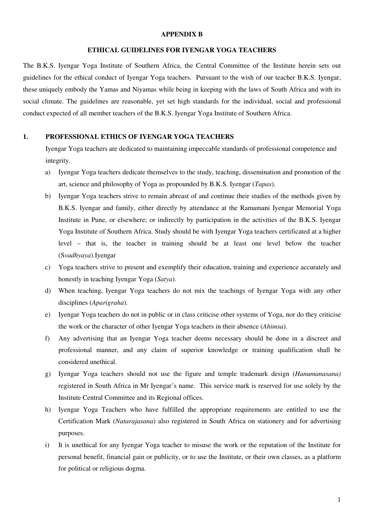#### **APPENDIX B**

#### **ETHICAL GUIDELINES FOR IYENGAR YOGA TEACHERS**

The B.K.S. Iyengar Yoga Institute of Southern Africa, the Central Committee of the Institute herein sets out guidelines for the ethical conduct of Iyengar Yoga teachers. Pursuant to the wish of our teacher B.K.S. Iyengar, these uniquely embody the Yamas and Niyamas while being in keeping with the laws of South Africa and with its social climate. The guidelines are reasonable, yet set high standards for the individual, social and professional conduct expected of all member teachers of the B.K.S. Iyengar Yoga Institute of Southern Africa.

### **1. PROFESSIONAL ETHICS OF IYENGAR YOGA TEACHERS**

 Iyengar Yoga teachers are dedicated to maintaining impeccable standards of professional competence and integrity.

- a) Iyengar Yoga teachers dedicate themselves to the study, teaching, dissemination and promotion of the art, science and philosophy of Yoga as propounded by B.K.S. Iyengar (*Tapas*).
- b) Iyengar Yoga teachers strive to remain abreast of and continue their studies of the methods given by B.K.S. Iyengar and family, either directly by attendance at the Ramamani Iyengar Memorial Yoga Institute in Pune, or elsewhere; or indirectly by participation in the activities of the B.K.S. Iyengar Yoga Institute of Southern Africa. Study should be with Iyengar Yoga teachers certificated at a higher level – that is, the teacher in training should be at least one level below the teacher (S*vadhyaya*).Iyengar
- c) Yoga teachers strive to present and exemplify their education, training and experience accurately and honestly in teaching Iyengar Yoga (*Satya*).
- d) When teaching, Iyengar Yoga teachers do not mix the teachings of Iyengar Yoga with any other disciplines (*Aparigraha*).
- e) Iyengar Yoga teachers do not in public or in class criticise other systems of Yoga, nor do they criticise the work or the character of other Iyengar Yoga teachers in their absence (*Ahimsa*).
- f) Any advertising that an Iyengar Yoga teacher deems necessary should be done in a discreet and professional manner, and any claim of superior knowledge or training qualification shall be considered unethical.
- g) Iyengar Yoga teachers should not use the figure and temple trademark design (*Hanumanasana)* registered in South Africa in Mr Iyengar's name. This service mark is reserved for use solely by the Institute Central Committee and its Regional offices.
- h) Iyengar Yoga Teachers who have fulfilled the appropriate requirements are entitled to use the Certification Mark (*Natarajasana*) also registered in South Africa on stationery and for advertising purposes.
- i) It is unethical for any Iyengar Yoga teacher to misuse the work or the reputation of the Institute for personal benefit, financial gain or publicity, or to use the Institute, or their own classes, as a platform for political or religious dogma.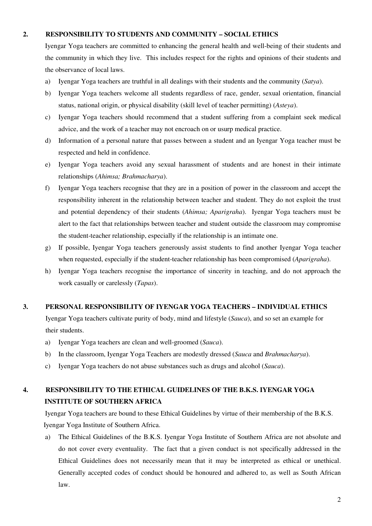## **2. RESPONSIBILITY TO STUDENTS AND COMMUNITY – SOCIAL ETHICS**

 Iyengar Yoga teachers are committed to enhancing the general health and well-being of their students and the community in which they live. This includes respect for the rights and opinions of their students and the observance of local laws.

- a) Iyengar Yoga teachers are truthful in all dealings with their students and the community (*Satya*).
- b) Iyengar Yoga teachers welcome all students regardless of race, gender, sexual orientation, financial status, national origin, or physical disability (skill level of teacher permitting) (*Asteya*).
- c) Iyengar Yoga teachers should recommend that a student suffering from a complaint seek medical advice, and the work of a teacher may not encroach on or usurp medical practice.
- d) Information of a personal nature that passes between a student and an Iyengar Yoga teacher must be respected and held in confidence.
- e) Iyengar Yoga teachers avoid any sexual harassment of students and are honest in their intimate relationships (*Ahimsa; Brahmacharya*).
- f) Iyengar Yoga teachers recognise that they are in a position of power in the classroom and accept the responsibility inherent in the relationship between teacher and student. They do not exploit the trust and potential dependency of their students (*Ahimsa; Aparigraha*). Iyengar Yoga teachers must be alert to the fact that relationships between teacher and student outside the classroom may compromise the student-teacher relationship, especially if the relationship is an intimate one.
- g) If possible, Iyengar Yoga teachers generously assist students to find another Iyengar Yoga teacher when requested, especially if the student-teacher relationship has been compromised (*Aparigraha*).
- h) Iyengar Yoga teachers recognise the importance of sincerity in teaching, and do not approach the work casually or carelessly (*Tapas*).

## **3. PERSONAL RESPONSIBILITY OF IYENGAR YOGA TEACHERS – INDIVIDUAL ETHICS**

 Iyengar Yoga teachers cultivate purity of body, mind and lifestyle (*Sauca*), and so set an example for their students.

- a) Iyengar Yoga teachers are clean and well-groomed (*Sauca*).
- b) In the classroom, Iyengar Yoga Teachers are modestly dressed (*Sauca* and *Brahmacharya*).
- c) Iyengar Yoga teachers do not abuse substances such as drugs and alcohol (*Sauca*).

# **4. RESPONSIBILITY TO THE ETHICAL GUIDELINES OF THE B.K.S. IYENGAR YOGA INSTITUTE OF SOUTHERN AFRICA**

Iyengar Yoga teachers are bound to these Ethical Guidelines by virtue of their membership of the B.K.S. Iyengar Yoga Institute of Southern Africa.

a) The Ethical Guidelines of the B.K.S. Iyengar Yoga Institute of Southern Africa are not absolute and do not cover every eventuality. The fact that a given conduct is not specifically addressed in the Ethical Guidelines does not necessarily mean that it may be interpreted as ethical or unethical. Generally accepted codes of conduct should be honoured and adhered to, as well as South African law.